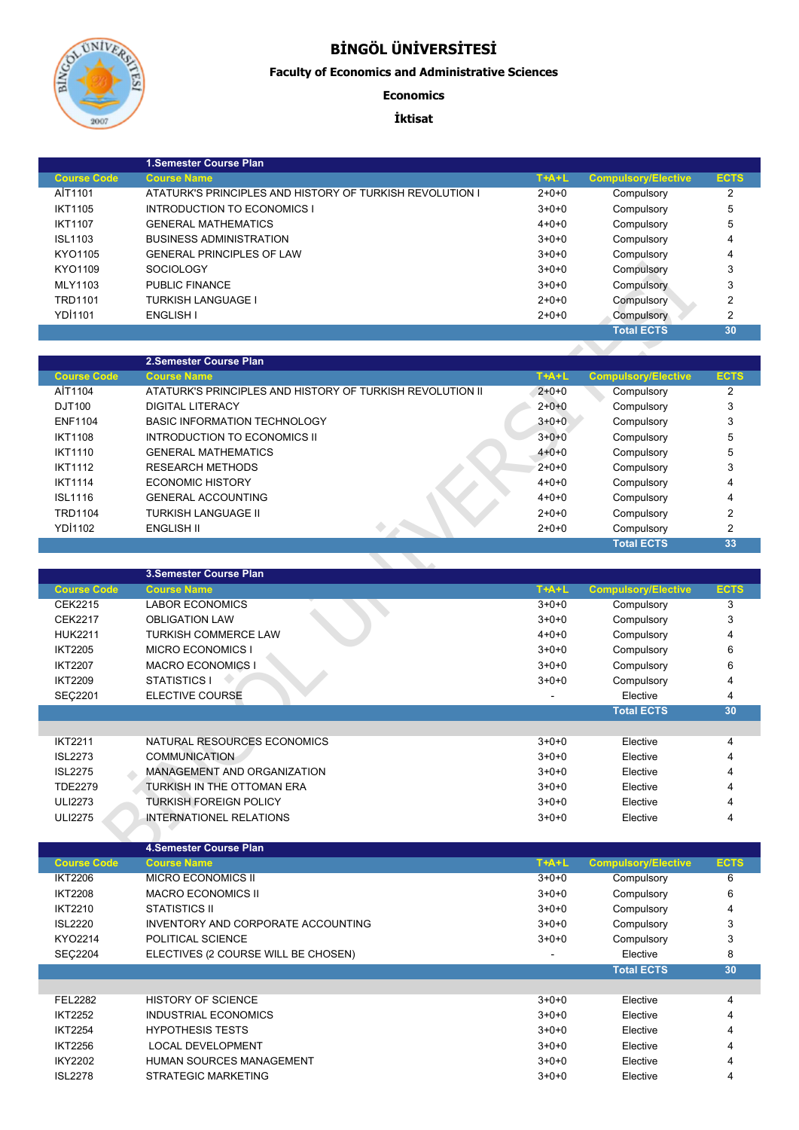

## **BİNGÖL ÜNİVERSİTESİ**

## **Faculty of Economics and Administrative Sciences**

## **Economics**

## **İktisat**

|                    | 1. Semester Course Plan                                  |             |                            |                |
|--------------------|----------------------------------------------------------|-------------|----------------------------|----------------|
| <b>Course Code</b> | <b>Course Name</b>                                       | $T+A+L$     | <b>Compulsory/Elective</b> | <b>ECTS</b>    |
| AİT1101            | ATATURK'S PRINCIPLES AND HISTORY OF TURKISH REVOLUTION I | $2+0+0$     | Compulsory                 | 2              |
| <b>IKT1105</b>     | INTRODUCTION TO ECONOMICS I                              | $3+0+0$     | Compulsory                 | 5              |
| <b>IKT1107</b>     | <b>GENERAL MATHEMATICS</b>                               | $4 + 0 + 0$ | Compulsory                 | 5              |
| <b>ISL1103</b>     | <b>BUSINESS ADMINISTRATION</b>                           | $3+0+0$     | Compulsory                 | 4              |
| KYO1105            | <b>GENERAL PRINCIPLES OF LAW</b>                         | $3+0+0$     | Compulsory                 | 4              |
| KYO1109            | <b>SOCIOLOGY</b>                                         | $3+0+0$     | Compulsory                 | 3              |
| MLY1103            | PUBLIC FINANCE                                           | $3+0+0$     | Compulsory                 | 3              |
| <b>TRD1101</b>     | <b>TURKISH LANGUAGE I</b>                                | $2+0+0$     | Compulsory                 | $\overline{2}$ |
| <b>YDI1101</b>     | ENGLISH I                                                | $2+0+0$     | Compulsory                 | $\overline{2}$ |
|                    |                                                          |             | <b>Total ECTS</b>          | 30             |

|                    | 2. Semester Course Plan                                   |             |                            |               |
|--------------------|-----------------------------------------------------------|-------------|----------------------------|---------------|
| <b>Course Code</b> | <b>Course Name</b>                                        | $T+A+L$     | <b>Compulsory/Elective</b> | <b>ECTS</b>   |
| AİT1104            | ATATURK'S PRINCIPLES AND HISTORY OF TURKISH REVOLUTION II | $2+0+0$     | Compulsory                 | 2             |
| DJT100             | <b>DIGITAL LITERACY</b>                                   | $2+0+0$     | Compulsory                 | 3             |
| <b>ENF1104</b>     | BASIC INFORMATION TECHNOLOGY                              | $3+0+0$     | Compulsory                 | 3             |
| <b>IKT1108</b>     | INTRODUCTION TO ECONOMICS II                              | $3+0+0$     | Compulsory                 | 5             |
| <b>IKT1110</b>     | <b>GENERAL MATHEMATICS</b>                                | $4 + 0 + 0$ | Compulsory                 | 5             |
| <b>IKT1112</b>     | <b>RESEARCH METHODS</b>                                   | $2+0+0$     | Compulsory                 | 3             |
| <b>IKT1114</b>     | ECONOMIC HISTORY                                          | $4 + 0 + 0$ | Compulsory                 | 4             |
| <b>ISL1116</b>     | <b>GENERAL ACCOUNTING</b>                                 | $4 + 0 + 0$ | Compulsory                 | 4             |
| <b>TRD1104</b>     | <b>TURKISH LANGUAGE II</b>                                | $2+0+0$     | Compulsory                 | 2             |
| <b>YD11102</b>     | ENGLISH II                                                | $2+0+0$     | Compulsory                 | $\mathcal{P}$ |
|                    |                                                           |             | <b>Total ECTS</b>          | 33            |

| טטווטט             | GENERAL FRINCIFLES OF LAW                                 | ט⊤ט⊤ט       | <b>Computer</b>            |                         |
|--------------------|-----------------------------------------------------------|-------------|----------------------------|-------------------------|
| KYO1109            | <b>SOCIOLOGY</b>                                          | $3 + 0 + 0$ | Compulsory                 | 3                       |
| MLY1103            | <b>PUBLIC FINANCE</b>                                     | $3 + 0 + 0$ | Compulsory                 | 3                       |
| <b>TRD1101</b>     | <b>TURKISH LANGUAGE I</b>                                 | $2 + 0 + 0$ | Compulsory                 | $\overline{2}$          |
| <b>YDI1101</b>     | <b>ENGLISH I</b>                                          | $2 + 0 + 0$ | Compulsory                 | $\overline{2}$          |
|                    |                                                           |             | <b>Total ECTS</b>          | 30                      |
|                    |                                                           |             |                            |                         |
|                    | 2.Semester Course Plan                                    |             |                            |                         |
| <b>Course Code</b> | <b>Course Name</b>                                        | $T+A+L$     | <b>Compulsory/Elective</b> | <b>ECTS</b>             |
| AİT1104            | ATATURK'S PRINCIPLES AND HISTORY OF TURKISH REVOLUTION II | $2+0+0$     | Compulsory                 | $\overline{2}$          |
| DJT100             | <b>DIGITAL LITERACY</b>                                   | $2 + 0 + 0$ | Compulsory                 | 3                       |
| <b>ENF1104</b>     | <b>BASIC INFORMATION TECHNOLOGY</b>                       | $3+0+0$     | Compulsory                 | 3                       |
| <b>IKT1108</b>     | <b>INTRODUCTION TO ECONOMICS II</b>                       | $3+0+0$     | Compulsory                 | 5                       |
| <b>IKT1110</b>     | <b>GENERAL MATHEMATICS</b>                                | $4 + 0 + 0$ | Compulsory                 | 5                       |
| <b>IKT1112</b>     | <b>RESEARCH METHODS</b>                                   | $2 + 0 + 0$ | Compulsory                 | 3                       |
| <b>IKT1114</b>     | <b>ECONOMIC HISTORY</b>                                   | $4 + 0 + 0$ | Compulsory                 | 4                       |
| <b>ISL1116</b>     | <b>GENERAL ACCOUNTING</b>                                 | $4 + 0 + 0$ | Compulsory                 | 4                       |
| <b>TRD1104</b>     | <b>TURKISH LANGUAGE II</b>                                | $2 + 0 + 0$ | Compulsory                 | $\overline{\mathbf{c}}$ |
| YD11102            | <b>ENGLISH II</b>                                         | $2 + 0 + 0$ | Compulsory                 | $\overline{\mathbf{c}}$ |
|                    |                                                           |             | <b>Total ECTS</b>          | 33                      |
|                    |                                                           |             |                            |                         |
|                    |                                                           |             |                            |                         |
|                    | 3.Semester Course Plan                                    |             |                            |                         |
| <b>Course Code</b> | <b>Course Name</b>                                        | $T+A+L$     | <b>Compulsory/Elective</b> | <b>ECTS</b>             |
| <b>CEK2215</b>     | <b>LABOR ECONOMICS</b>                                    | $3+0+0$     | Compulsory                 | 3                       |
| <b>CEK2217</b>     | <b>OBLIGATION LAW</b>                                     | $3+0+0$     | Compulsory                 | 3                       |
| <b>HUK2211</b>     | <b>TURKISH COMMERCE LAW</b>                               | $4 + 0 + 0$ | Compulsory                 | $\overline{\mathbf{4}}$ |
| <b>IKT2205</b>     | <b>MICRO ECONOMICS I</b>                                  | $3 + 0 + 0$ | Compulsory                 | 6                       |
| <b>IKT2207</b>     | <b>MACRO ECONOMICS I</b>                                  | $3 + 0 + 0$ | Compulsory                 | 6                       |
| <b>IKT2209</b>     | STATISTICS I                                              | $3+0+0$     | Compulsory                 | 4                       |
| SEÇ2201            | <b>ELECTIVE COURSE</b>                                    |             | Elective                   | 4                       |
|                    |                                                           |             | <b>Total ECTS</b>          | 30                      |
|                    |                                                           |             |                            |                         |
| <b>IKT2211</b>     | NATURAL RESOURCES ECONOMICS                               | $3 + 0 + 0$ | Elective                   | 4                       |
| <b>ISL2273</b>     | <b>COMMUNICATION</b>                                      | $3 + 0 + 0$ | Elective                   | $\overline{\mathbf{4}}$ |
| <b>ISL2275</b>     | MANAGEMENT AND ORGANIZATION                               | $3 + 0 + 0$ | Elective                   | 4                       |
| <b>TDE2279</b>     | TURKISH IN THE OTTOMAN ERA                                | $3 + 0 + 0$ | Elective                   |                         |
| <b>ULI2273</b>     | <b>TURKISH FOREIGN POLICY</b>                             | $3 + 0 + 0$ | Elective                   | 4                       |
| <b>ULI2275</b>     | <b>INTERNATIONEL RELATIONS</b>                            | $3 + 0 + 0$ | Elective                   | 4                       |
|                    |                                                           |             |                            |                         |
|                    | <b>4.Semester Course Plan</b>                             |             |                            |                         |

|                    | 4. Semester Course Plan             |         |                            |             |
|--------------------|-------------------------------------|---------|----------------------------|-------------|
| <b>Course Code</b> | <b>Course Name</b>                  | $T+A+L$ | <b>Compulsory/Elective</b> | <b>ECTS</b> |
| <b>IKT2206</b>     | MICRO ECONOMICS II                  | $3+0+0$ | Compulsory                 | 6           |
| <b>IKT2208</b>     | <b>MACRO ECONOMICS II</b>           | $3+0+0$ | Compulsory                 | 6           |
| IKT2210            | STATISTICS II                       | $3+0+0$ | Compulsory                 | 4           |
| <b>ISL2220</b>     | INVENTORY AND CORPORATE ACCOUNTING  | $3+0+0$ | Compulsory                 | 3           |
| KYO2214            | POLITICAL SCIENCE                   | $3+0+0$ | Compulsory                 | 3           |
| <b>SEC2204</b>     | ELECTIVES (2 COURSE WILL BE CHOSEN) |         | Elective                   | 8           |
|                    |                                     |         | <b>Total ECTS</b>          | 30          |
|                    |                                     |         |                            |             |
| <b>FEL2282</b>     | <b>HISTORY OF SCIENCE</b>           | $3+0+0$ | Elective                   | 4           |
| <b>IKT2252</b>     | INDUSTRIAL ECONOMICS                | $3+0+0$ | Elective                   | 4           |
| <b>IKT2254</b>     | <b>HYPOTHESIS TESTS</b>             | $3+0+0$ | Elective                   | 4           |
| <b>IKT2256</b>     | <b>LOCAL DEVELOPMENT</b>            | $3+0+0$ | Elective                   | 4           |
| <b>IKY2202</b>     | <b>HUMAN SOURCES MANAGEMENT</b>     | $3+0+0$ | Elective                   | 4           |
| <b>ISL2278</b>     | STRATEGIC MARKETING                 | $3+0+0$ | Elective                   | 4           |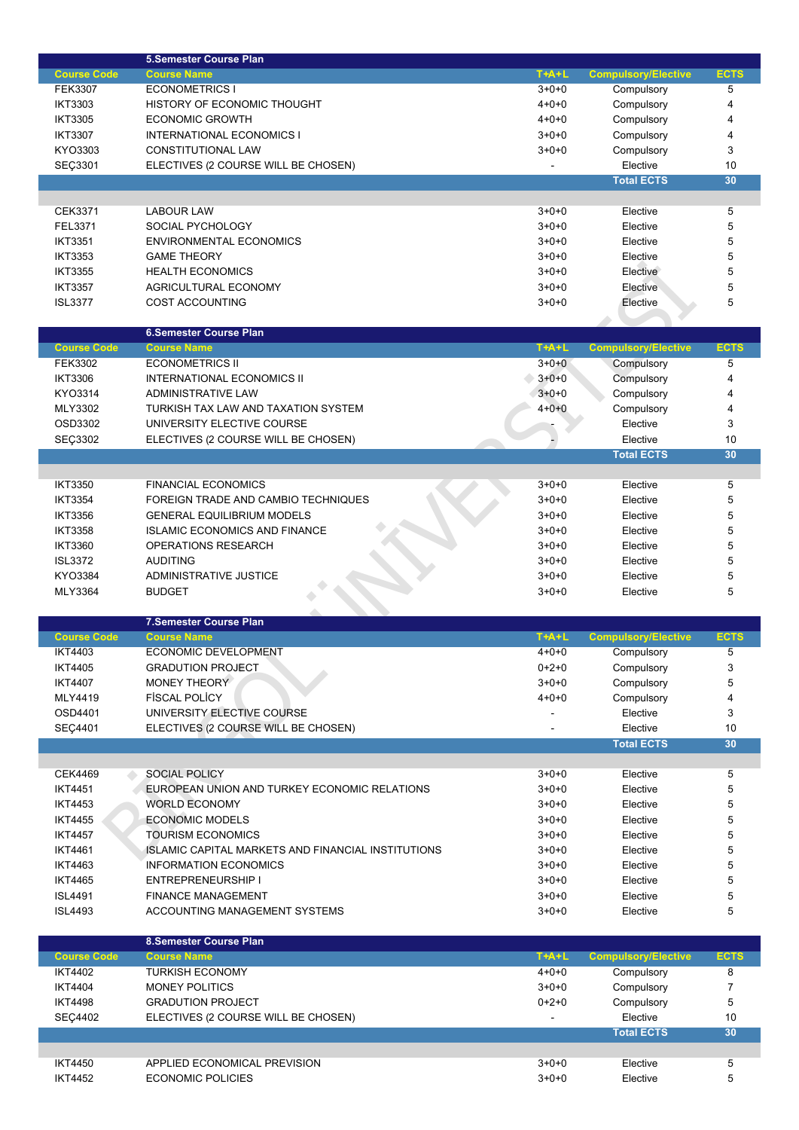|                                  | <b>5.Semester Course Plan</b>                             |                          |                            |             |
|----------------------------------|-----------------------------------------------------------|--------------------------|----------------------------|-------------|
| <b>Course Code</b>               | <b>Course Name</b>                                        | $T+A+L$                  | <b>Compulsory/Elective</b> | <b>ECTS</b> |
| <b>FEK3307</b>                   | <b>ECONOMETRICS I</b>                                     | $3+0+0$                  | Compulsory                 | 5           |
| <b>IKT3303</b>                   | HISTORY OF ECONOMIC THOUGHT                               | $4 + 0 + 0$              | Compulsory                 | 4           |
| <b>IKT3305</b>                   | <b>ECONOMIC GROWTH</b>                                    | $4 + 0 + 0$              | Compulsory                 | 4           |
| <b>IKT3307</b>                   | <b>INTERNATIONAL ECONOMICS I</b>                          | $3+0+0$                  | Compulsory                 | 4           |
|                                  |                                                           |                          |                            |             |
| KYO3303                          | CONSTITUTIONAL LAW                                        | $3 + 0 + 0$              | Compulsory                 | 3           |
| SEÇ3301                          | ELECTIVES (2 COURSE WILL BE CHOSEN)                       |                          | Elective                   | 10          |
|                                  |                                                           |                          | <b>Total ECTS</b>          | 30          |
|                                  |                                                           |                          |                            |             |
| CEK3371                          | LABOUR LAW                                                | $3 + 0 + 0$              | Elective                   | 5           |
| FEL3371                          | SOCIAL PYCHOLOGY                                          | $3+0+0$                  | Elective                   | 5           |
| <b>IKT3351</b>                   | <b>ENVIRONMENTAL ECONOMICS</b>                            | $3+0+0$                  | Elective                   | 5           |
| <b>IKT3353</b>                   |                                                           | $3+0+0$                  |                            | 5           |
|                                  | <b>GAME THEORY</b>                                        |                          | Elective                   |             |
| <b>IKT3355</b>                   | <b>HEALTH ECONOMICS</b>                                   | $3+0+0$                  | Elective                   | 5           |
| <b>IKT3357</b>                   | AGRICULTURAL ECONOMY                                      | $3+0+0$                  | Elective                   | 5           |
| <b>ISL3377</b>                   | <b>COST ACCOUNTING</b>                                    | $3+0+0$                  | Elective                   | 5           |
|                                  |                                                           |                          |                            |             |
|                                  | <b>6.Semester Course Plan</b>                             |                          |                            |             |
| <b>Course Code</b>               | <b>Course Name</b>                                        | $T+A+L$                  | <b>Compulsory/Elective</b> | <b>ECTS</b> |
| <b>FEK3302</b>                   | <b>ECONOMETRICS II</b>                                    | $3+0+0$                  | Compulsory                 | 5           |
| <b>IKT3306</b>                   |                                                           |                          |                            | 4           |
|                                  | <b>INTERNATIONAL ECONOMICS II</b>                         | $3+0+0$                  | Compulsory                 |             |
| KYO3314                          | ADMINISTRATIVE LAW                                        | $3+0+0$                  | Compulsory                 | 4           |
| MLY3302                          | TURKISH TAX LAW AND TAXATION SYSTEM                       | $4 + 0 + 0$              | Compulsory                 | 4           |
| OSD3302                          | UNIVERSITY ELECTIVE COURSE                                |                          | Elective                   | 3           |
| SEÇ3302                          | ELECTIVES (2 COURSE WILL BE CHOSEN)                       |                          | Elective                   | 10          |
|                                  |                                                           |                          | <b>Total ECTS</b>          | 30          |
|                                  |                                                           |                          |                            |             |
| <b>IKT3350</b>                   | <b>FINANCIAL ECONOMICS</b>                                | $3 + 0 + 0$              | Elective                   | 5           |
|                                  |                                                           |                          |                            |             |
| <b>IKT3354</b>                   | FOREIGN TRADE AND CAMBIO TECHNIQUES                       | $3 + 0 + 0$              | Elective                   | 5           |
| <b>IKT3356</b>                   | <b>GENERAL EQUILIBRIUM MODELS</b>                         | $3+0+0$                  | Elective                   | 5           |
| <b>IKT3358</b>                   | <b>ISLAMIC ECONOMICS AND FINANCE</b>                      | $3 + 0 + 0$              | Elective                   | 5           |
| <b>IKT3360</b>                   | OPERATIONS RESEARCH                                       | $3+0+0$                  | Elective                   | 5           |
| <b>ISL3372</b>                   | <b>AUDITING</b>                                           | $3+0+0$                  | Elective                   | 5           |
|                                  |                                                           |                          |                            |             |
|                                  |                                                           |                          |                            |             |
| KYO3384                          | ADMINISTRATIVE JUSTICE                                    | $3+0+0$                  | Elective                   | 5           |
| MLY3364                          | <b>BUDGET</b>                                             | $3 + 0 + 0$              | Elective                   | 5           |
|                                  |                                                           |                          |                            |             |
|                                  | <b>7.Semester Course Plan</b>                             |                          |                            |             |
| <b>Course Code</b>               | <b>Course Name</b>                                        | $T+A+L$                  | <b>Compulsory/Elective</b> | <b>ECTS</b> |
| <b>IKT4403</b>                   | ECONOMIC DEVELOPMENT                                      | $4 + 0 + 0$              | Compulsory                 | 5           |
| <b>IKT4405</b>                   | <b>GRADUTION PROJECT</b>                                  | $0+2+0$                  | Compulsory                 | 3           |
|                                  |                                                           |                          |                            |             |
| <b>IKT4407</b>                   | <b>MONEY THEORY</b>                                       | $3+0+0$                  | Compulsory                 | 5           |
| MLY4419                          | <b>FISCAL POLICY</b>                                      | $4 + 0 + 0$              | Compulsory                 | 4           |
| OSD4401                          | UNIVERSITY ELECTIVE COURSE                                |                          | Elective                   | 3           |
| SEÇ4401                          | ELECTIVES (2 COURSE WILL BE CHOSEN)                       |                          | Elective                   | 10          |
|                                  |                                                           |                          | <b>Total ECTS</b>          | 30          |
|                                  |                                                           |                          |                            |             |
| <b>CEK4469</b>                   | <b>SOCIAL POLICY</b>                                      | $3 + 0 + 0$              | Elective                   | 5           |
| <b>IKT4451</b>                   | EUROPEAN UNION AND TURKEY ECONOMIC RELATIONS              | $3+0+0$                  | Elective                   | 5           |
|                                  |                                                           |                          |                            |             |
| <b>IKT4453</b>                   | <b>WORLD ECONOMY</b>                                      | $3+0+0$                  | Elective                   | 5           |
| <b>IKT4455</b>                   | <b>ECONOMIC MODELS</b>                                    | $3+0+0$                  | Elective                   | 5           |
| <b>IKT4457</b>                   | <b>TOURISM ECONOMICS</b>                                  | $3+0+0$                  | Elective                   | 5           |
| <b>IKT4461</b>                   | <b>ISLAMIC CAPITAL MARKETS AND FINANCIAL INSTITUTIONS</b> | $3+0+0$                  | Elective                   | 5           |
| <b>IKT4463</b>                   | <b>INFORMATION ECONOMICS</b>                              | $3+0+0$                  | Elective                   | 5           |
| <b>IKT4465</b>                   | ENTREPRENEURSHIP I                                        | $3+0+0$                  | Elective                   | 5           |
| <b>ISL4491</b>                   | <b>FINANCE MANAGEMENT</b>                                 | $3+0+0$                  | Elective                   | 5           |
| <b>ISL4493</b>                   | ACCOUNTING MANAGEMENT SYSTEMS                             | $3+0+0$                  | Elective                   | 5           |
|                                  |                                                           |                          |                            |             |
|                                  |                                                           |                          |                            |             |
|                                  | 8.Semester Course Plan                                    |                          |                            |             |
| <b>Course Code</b>               | <b>Course Name</b>                                        | $T+A+L$                  | <b>Compulsory/Elective</b> | <b>ECTS</b> |
| <b>IKT4402</b>                   | <b>TURKISH ECONOMY</b>                                    | $4 + 0 + 0$              | Compulsory                 | 8           |
| <b>IKT4404</b>                   | <b>MONEY POLITICS</b>                                     | $3+0+0$                  | Compulsory                 | 7           |
| <b>IKT4498</b>                   | <b>GRADUTION PROJECT</b>                                  | $0 + 2 + 0$              | Compulsory                 | 5           |
| <b>SEC4402</b>                   | ELECTIVES (2 COURSE WILL BE CHOSEN)                       | $\overline{\phantom{a}}$ | Elective                   | 10          |
|                                  |                                                           |                          | <b>Total ECTS</b>          | 30          |
|                                  |                                                           |                          |                            |             |
|                                  |                                                           |                          |                            |             |
| <b>IKT4450</b><br><b>IKT4452</b> | APPLIED ECONOMICAL PREVISION<br><b>ECONOMIC POLICIES</b>  | $3 + 0 + 0$<br>$3+0+0$   | Elective<br>Elective       | 5<br>5      |